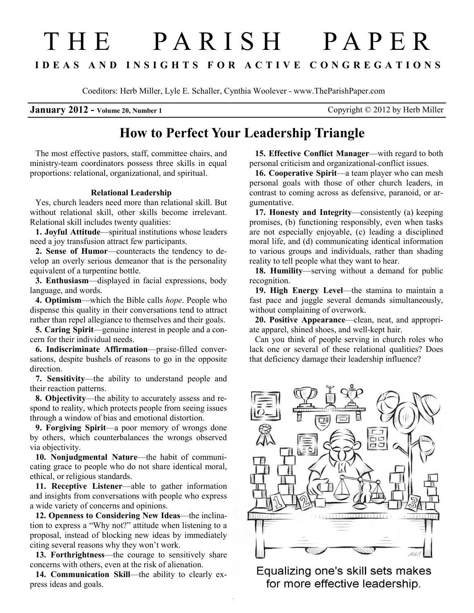# THE PARISH PAPER I D E A S A N D I N S I G H T S F O R A C T I V E C O N G R E G A T I O N S

Coeditors: Herb Miller, Lyle E. Schaller, Cynthia Woolever - www.TheParishPaper.com

**January 2012** - Volume 20, Number 1 Copyright  $\odot$  2012 by Herb Miller

# How to Perfect Your Leadership Triangle

The most effective pastors, staff, committee chairs, and ministry-team coordinators possess three skills in equal proportions: relational, organizational, and spiritual.

# Relational Leadership

Yes, church leaders need more than relational skill. But without relational skill, other skills become irrelevant. Relational skill includes twenty qualities:

1. Joyful Attitude—spiritual institutions whose leaders need a joy transfusion attract few participants.

2. Sense of Humor—counteracts the tendency to develop an overly serious demeanor that is the personality equivalent of a turpentine bottle.

3. Enthusiasm—displayed in facial expressions, body language, and words.

4. Optimism—which the Bible calls hope. People who dispense this quality in their conversations tend to attract rather than repel allegiance to themselves and their goals.

5. Caring Spirit—genuine interest in people and a concern for their individual needs.

6. Indiscriminate Affirmation—praise-filled conversations, despite bushels of reasons to go in the opposite direction.

7. Sensitivity—the ability to understand people and their reaction patterns.

8. Objectivity—the ability to accurately assess and respond to reality, which protects people from seeing issues through a window of bias and emotional distortion.

9. Forgiving Spirit—a poor memory of wrongs done by others, which counterbalances the wrongs observed via objectivity.

10. Nonjudgmental Nature—the habit of communicating grace to people who do not share identical moral, ethical, or religious standards.

11. Receptive Listener—able to gather information and insights from conversations with people who express a wide variety of concerns and opinions.

12. Openness to Considering New Ideas—the inclination to express a "Why not?" attitude when listening to a proposal, instead of blocking new ideas by immediately citing several reasons why they won't work.

13. Forthrightness—the courage to sensitively share concerns with others, even at the risk of alienation.

14. Communication Skill—the ability to clearly express ideas and goals.

15. Effective Conflict Manager—with regard to both personal criticism and organizational-conflict issues.

16. Cooperative Spirit—a team player who can mesh personal goals with those of other church leaders, in contrast to coming across as defensive, paranoid, or argumentative.

17. Honesty and Integrity—consistently (a) keeping promises, (b) functioning responsibly, even when tasks are not especially enjoyable, (c) leading a disciplined moral life, and (d) communicating identical information to various groups and individuals, rather than shading reality to tell people what they want to hear.

18. Humility—serving without a demand for public recognition.

19. High Energy Level—the stamina to maintain a fast pace and juggle several demands simultaneously, without complaining of overwork.

20. Positive Appearance—clean, neat, and appropriate apparel, shined shoes, and well-kept hair.

Can you think of people serving in church roles who lack one or several of these relational qualities? Does that deficiency damage their leadership influence?



Equalizing one's skill sets makes for more effective leadership.